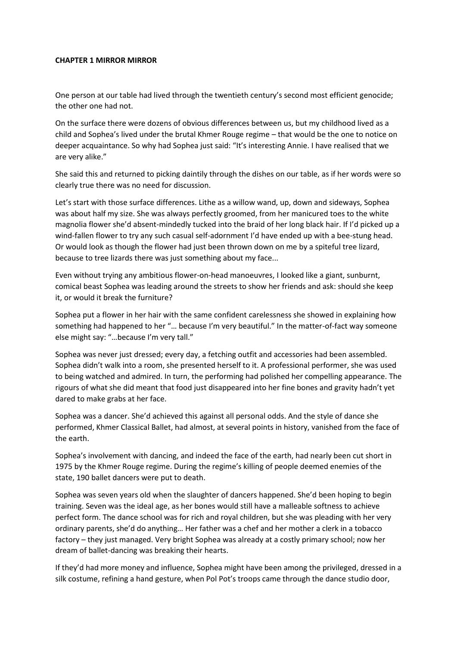## **CHAPTER 1 MIRROR MIRROR**

One person at our table had lived through the twentieth century's second most efficient genocide; the other one had not.

On the surface there were dozens of obvious differences between us, but my childhood lived as a child and Sophea's lived under the brutal Khmer Rouge regime – that would be the one to notice on deeper acquaintance. So why had Sophea just said: "It's interesting Annie. I have realised that we are very alike."

She said this and returned to picking daintily through the dishes on our table, as if her words were so clearly true there was no need for discussion.

Let's start with those surface differences. Lithe as a willow wand, up, down and sideways, Sophea was about half my size. She was always perfectly groomed, from her manicured toes to the white magnolia flower she'd absent-mindedly tucked into the braid of her long black hair. If I'd picked up a wind-fallen flower to try any such casual self-adornment I'd have ended up with a bee-stung head. Or would look as though the flower had just been thrown down on me by a spiteful tree lizard, because to tree lizards there was just something about my face...

Even without trying any ambitious flower-on-head manoeuvres, I looked like a giant, sunburnt, comical beast Sophea was leading around the streets to show her friends and ask: should she keep it, or would it break the furniture?

Sophea put a flower in her hair with the same confident carelessness she showed in explaining how something had happened to her "… because I'm very beautiful." In the matter-of-fact way someone else might say: "…because I'm very tall."

Sophea was never just dressed; every day, a fetching outfit and accessories had been assembled. Sophea didn't walk into a room, she presented herself to it. A professional performer, she was used to being watched and admired. In turn, the performing had polished her compelling appearance. The rigours of what she did meant that food just disappeared into her fine bones and gravity hadn't yet dared to make grabs at her face.

Sophea was a dancer. She'd achieved this against all personal odds. And the style of dance she performed, Khmer Classical Ballet, had almost, at several points in history, vanished from the face of the earth.

Sophea's involvement with dancing, and indeed the face of the earth, had nearly been cut short in 1975 by the Khmer Rouge regime. During the regime's killing of people deemed enemies of the state, 190 ballet dancers were put to death.

Sophea was seven years old when the slaughter of dancers happened. She'd been hoping to begin training. Seven was the ideal age, as her bones would still have a malleable softness to achieve perfect form. The dance school was for rich and royal children, but she was pleading with her very ordinary parents, she'd do anything… Her father was a chef and her mother a clerk in a tobacco factory – they just managed. Very bright Sophea was already at a costly primary school; now her dream of ballet-dancing was breaking their hearts.

If they'd had more money and influence, Sophea might have been among the privileged, dressed in a silk costume, refining a hand gesture, when Pol Pot's troops came through the dance studio door,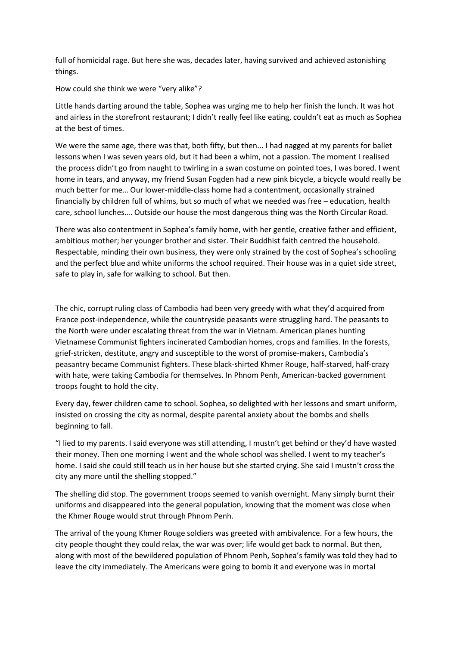full of homicidal rage. But here she was, decades later, having survived and achieved astonishing things.

How could she think we were "very alike"?

Little hands darting around the table, Sophea was urging me to help her finish the lunch. It was hot and airless in the storefront restaurant; I didn't really feel like eating, couldn't eat as much as Sophea at the best of times.

We were the same age, there was that, both fifty, but then... I had nagged at my parents for ballet lessons when I was seven years old, but it had been a whim, not a passion. The moment I realised the process didn't go from naught to twirling in a swan costume on pointed toes, I was bored. I went home in tears, and anyway, my friend Susan Fogden had a new pink bicycle, a bicycle would really be much better for me… Our lower-middle-class home had a contentment, occasionally strained financially by children full of whims, but so much of what we needed was free – education, health care, school lunches…. Outside our house the most dangerous thing was the North Circular Road.

There was also contentment in Sophea's family home, with her gentle, creative father and efficient, ambitious mother; her younger brother and sister. Their Buddhist faith centred the household. Respectable, minding their own business, they were only strained by the cost of Sophea's schooling and the perfect blue and white uniforms the school required. Their house was in a quiet side street, safe to play in, safe for walking to school. But then.

The chic, corrupt ruling class of Cambodia had been very greedy with what they'd acquired from France post-independence, while the countryside peasants were struggling hard. The peasants to the North were under escalating threat from the war in Vietnam. American planes hunting Vietnamese Communist fighters incinerated Cambodian homes, crops and families. In the forests, grief-stricken, destitute, angry and susceptible to the worst of promise-makers, Cambodia's peasantry became Communist fighters. These black-shirted Khmer Rouge, half-starved, half-crazy with hate, were taking Cambodia for themselves. In Phnom Penh, American-backed government troops fought to hold the city.

Every day, fewer children came to school. Sophea, so delighted with her lessons and smart uniform, insisted on crossing the city as normal, despite parental anxiety about the bombs and shells beginning to fall.

"I lied to my parents. I said everyone was still attending, I mustn't get behind or they'd have wasted their money. Then one morning I went and the whole school was shelled. I went to my teacher's home. I said she could still teach us in her house but she started crying. She said I mustn't cross the city any more until the shelling stopped."

The shelling did stop. The government troops seemed to vanish overnight. Many simply burnt their uniforms and disappeared into the general population, knowing that the moment was close when the Khmer Rouge would strut through Phnom Penh.

The arrival of the young Khmer Rouge soldiers was greeted with ambivalence. For a few hours, the city people thought they could relax, the war was over; life would get back to normal. But then, along with most of the bewildered population of Phnom Penh, Sophea's family was told they had to leave the city immediately. The Americans were going to bomb it and everyone was in mortal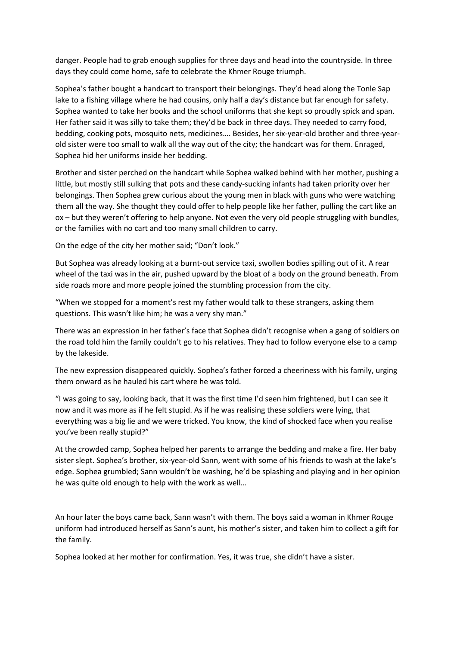danger. People had to grab enough supplies for three days and head into the countryside. In three days they could come home, safe to celebrate the Khmer Rouge triumph.

Sophea's father bought a handcart to transport their belongings. They'd head along the Tonle Sap lake to a fishing village where he had cousins, only half a day's distance but far enough for safety. Sophea wanted to take her books and the school uniforms that she kept so proudly spick and span. Her father said it was silly to take them; they'd be back in three days. They needed to carry food, bedding, cooking pots, mosquito nets, medicines…. Besides, her six-year-old brother and three-yearold sister were too small to walk all the way out of the city; the handcart was for them. Enraged, Sophea hid her uniforms inside her bedding.

Brother and sister perched on the handcart while Sophea walked behind with her mother, pushing a little, but mostly still sulking that pots and these candy-sucking infants had taken priority over her belongings. Then Sophea grew curious about the young men in black with guns who were watching them all the way. She thought they could offer to help people like her father, pulling the cart like an ox – but they weren't offering to help anyone. Not even the very old people struggling with bundles, or the families with no cart and too many small children to carry.

On the edge of the city her mother said; "Don't look."

But Sophea was already looking at a burnt-out service taxi, swollen bodies spilling out of it. A rear wheel of the taxi was in the air, pushed upward by the bloat of a body on the ground beneath. From side roads more and more people joined the stumbling procession from the city.

"When we stopped for a moment's rest my father would talk to these strangers, asking them questions. This wasn't like him; he was a very shy man."

There was an expression in her father's face that Sophea didn't recognise when a gang of soldiers on the road told him the family couldn't go to his relatives. They had to follow everyone else to a camp by the lakeside.

The new expression disappeared quickly. Sophea's father forced a cheeriness with his family, urging them onward as he hauled his cart where he was told.

"I was going to say, looking back, that it was the first time I'd seen him frightened, but I can see it now and it was more as if he felt stupid. As if he was realising these soldiers were lying, that everything was a big lie and we were tricked. You know, the kind of shocked face when you realise you've been really stupid?"

At the crowded camp, Sophea helped her parents to arrange the bedding and make a fire. Her baby sister slept. Sophea's brother, six-year-old Sann, went with some of his friends to wash at the lake's edge. Sophea grumbled; Sann wouldn't be washing, he'd be splashing and playing and in her opinion he was quite old enough to help with the work as well…

An hour later the boys came back, Sann wasn't with them. The boys said a woman in Khmer Rouge uniform had introduced herself as Sann's aunt, his mother's sister, and taken him to collect a gift for the family.

Sophea looked at her mother for confirmation. Yes, it was true, she didn't have a sister.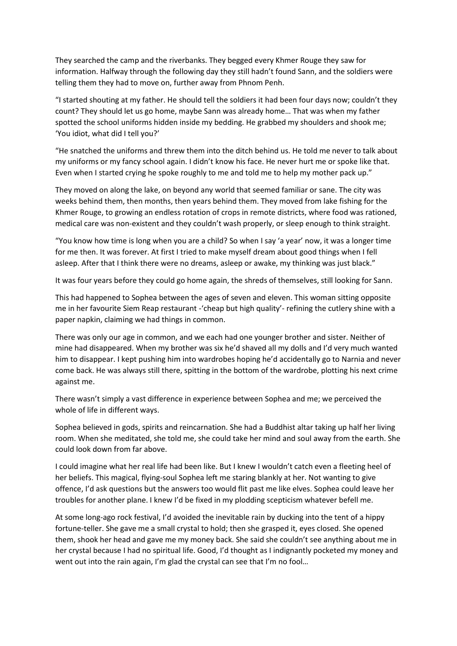They searched the camp and the riverbanks. They begged every Khmer Rouge they saw for information. Halfway through the following day they still hadn't found Sann, and the soldiers were telling them they had to move on, further away from Phnom Penh.

"I started shouting at my father. He should tell the soldiers it had been four days now; couldn't they count? They should let us go home, maybe Sann was already home… That was when my father spotted the school uniforms hidden inside my bedding. He grabbed my shoulders and shook me; 'You idiot, what did I tell you?'

"He snatched the uniforms and threw them into the ditch behind us. He told me never to talk about my uniforms or my fancy school again. I didn't know his face. He never hurt me or spoke like that. Even when I started crying he spoke roughly to me and told me to help my mother pack up."

They moved on along the lake, on beyond any world that seemed familiar or sane. The city was weeks behind them, then months, then years behind them. They moved from lake fishing for the Khmer Rouge, to growing an endless rotation of crops in remote districts, where food was rationed, medical care was non-existent and they couldn't wash properly, or sleep enough to think straight.

"You know how time is long when you are a child? So when I say 'a year' now, it was a longer time for me then. It was forever. At first I tried to make myself dream about good things when I fell asleep. After that I think there were no dreams, asleep or awake, my thinking was just black."

It was four years before they could go home again, the shreds of themselves, still looking for Sann.

This had happened to Sophea between the ages of seven and eleven. This woman sitting opposite me in her favourite Siem Reap restaurant -'cheap but high quality'- refining the cutlery shine with a paper napkin, claiming we had things in common.

There was only our age in common, and we each had one younger brother and sister. Neither of mine had disappeared. When my brother was six he'd shaved all my dolls and I'd very much wanted him to disappear. I kept pushing him into wardrobes hoping he'd accidentally go to Narnia and never come back. He was always still there, spitting in the bottom of the wardrobe, plotting his next crime against me.

There wasn't simply a vast difference in experience between Sophea and me; we perceived the whole of life in different ways.

Sophea believed in gods, spirits and reincarnation. She had a Buddhist altar taking up half her living room. When she meditated, she told me, she could take her mind and soul away from the earth. She could look down from far above.

I could imagine what her real life had been like. But I knew I wouldn't catch even a fleeting heel of her beliefs. This magical, flying-soul Sophea left me staring blankly at her. Not wanting to give offence, I'd ask questions but the answers too would flit past me like elves. Sophea could leave her troubles for another plane. I knew I'd be fixed in my plodding scepticism whatever befell me.

At some long-ago rock festival, I'd avoided the inevitable rain by ducking into the tent of a hippy fortune-teller. She gave me a small crystal to hold; then she grasped it, eyes closed. She opened them, shook her head and gave me my money back. She said she couldn't see anything about me in her crystal because I had no spiritual life. Good, I'd thought as I indignantly pocketed my money and went out into the rain again, I'm glad the crystal can see that I'm no fool...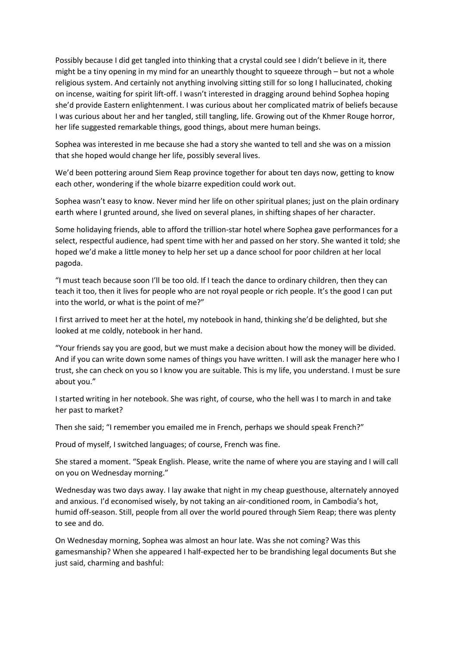Possibly because I did get tangled into thinking that a crystal could see I didn't believe in it, there might be a tiny opening in my mind for an unearthly thought to squeeze through – but not a whole religious system. And certainly not anything involving sitting still for so long I hallucinated, choking on incense, waiting for spirit lift-off. I wasn't interested in dragging around behind Sophea hoping she'd provide Eastern enlightenment. I was curious about her complicated matrix of beliefs because I was curious about her and her tangled, still tangling, life. Growing out of the Khmer Rouge horror, her life suggested remarkable things, good things, about mere human beings.

Sophea was interested in me because she had a story she wanted to tell and she was on a mission that she hoped would change her life, possibly several lives.

We'd been pottering around Siem Reap province together for about ten days now, getting to know each other, wondering if the whole bizarre expedition could work out.

Sophea wasn't easy to know. Never mind her life on other spiritual planes; just on the plain ordinary earth where I grunted around, she lived on several planes, in shifting shapes of her character.

Some holidaying friends, able to afford the trillion-star hotel where Sophea gave performances for a select, respectful audience, had spent time with her and passed on her story. She wanted it told; she hoped we'd make a little money to help her set up a dance school for poor children at her local pagoda.

"I must teach because soon I'll be too old. If I teach the dance to ordinary children, then they can teach it too, then it lives for people who are not royal people or rich people. It's the good I can put into the world, or what is the point of me?"

I first arrived to meet her at the hotel, my notebook in hand, thinking she'd be delighted, but she looked at me coldly, notebook in her hand.

"Your friends say you are good, but we must make a decision about how the money will be divided. And if you can write down some names of things you have written. I will ask the manager here who I trust, she can check on you so I know you are suitable. This is my life, you understand. I must be sure about you."

I started writing in her notebook. She was right, of course, who the hell was I to march in and take her past to market?

Then she said; "I remember you emailed me in French, perhaps we should speak French?"

Proud of myself, I switched languages; of course, French was fine.

She stared a moment. "Speak English. Please, write the name of where you are staying and I will call on you on Wednesday morning."

Wednesday was two days away. I lay awake that night in my cheap guesthouse, alternately annoyed and anxious. I'd economised wisely, by not taking an air-conditioned room, in Cambodia's hot, humid off-season. Still, people from all over the world poured through Siem Reap; there was plenty to see and do.

On Wednesday morning, Sophea was almost an hour late. Was she not coming? Was this gamesmanship? When she appeared I half-expected her to be brandishing legal documents But she just said, charming and bashful: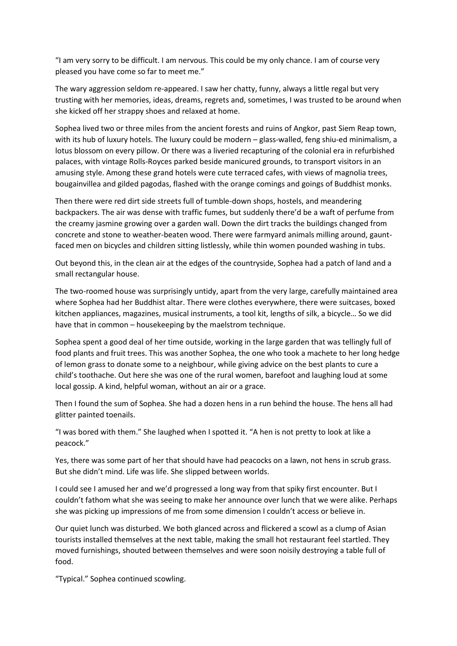"I am very sorry to be difficult. I am nervous. This could be my only chance. I am of course very pleased you have come so far to meet me."

The wary aggression seldom re-appeared. I saw her chatty, funny, always a little regal but very trusting with her memories, ideas, dreams, regrets and, sometimes, I was trusted to be around when she kicked off her strappy shoes and relaxed at home.

Sophea lived two or three miles from the ancient forests and ruins of Angkor, past Siem Reap town, with its hub of luxury hotels. The luxury could be modern – glass-walled, feng shiu-ed minimalism, a lotus blossom on every pillow. Or there was a liveried recapturing of the colonial era in refurbished palaces, with vintage Rolls-Royces parked beside manicured grounds, to transport visitors in an amusing style. Among these grand hotels were cute terraced cafes, with views of magnolia trees, bougainvillea and gilded pagodas, flashed with the orange comings and goings of Buddhist monks.

Then there were red dirt side streets full of tumble-down shops, hostels, and meandering backpackers. The air was dense with traffic fumes, but suddenly there'd be a waft of perfume from the creamy jasmine growing over a garden wall. Down the dirt tracks the buildings changed from concrete and stone to weather-beaten wood. There were farmyard animals milling around, gauntfaced men on bicycles and children sitting listlessly, while thin women pounded washing in tubs.

Out beyond this, in the clean air at the edges of the countryside, Sophea had a patch of land and a small rectangular house.

The two-roomed house was surprisingly untidy, apart from the very large, carefully maintained area where Sophea had her Buddhist altar. There were clothes everywhere, there were suitcases, boxed kitchen appliances, magazines, musical instruments, a tool kit, lengths of silk, a bicycle… So we did have that in common – housekeeping by the maelstrom technique.

Sophea spent a good deal of her time outside, working in the large garden that was tellingly full of food plants and fruit trees. This was another Sophea, the one who took a machete to her long hedge of lemon grass to donate some to a neighbour, while giving advice on the best plants to cure a child's toothache. Out here she was one of the rural women, barefoot and laughing loud at some local gossip. A kind, helpful woman, without an air or a grace.

Then I found the sum of Sophea. She had a dozen hens in a run behind the house. The hens all had glitter painted toenails.

"I was bored with them." She laughed when I spotted it. "A hen is not pretty to look at like a peacock."

Yes, there was some part of her that should have had peacocks on a lawn, not hens in scrub grass. But she didn't mind. Life was life. She slipped between worlds.

I could see I amused her and we'd progressed a long way from that spiky first encounter. But I couldn't fathom what she was seeing to make her announce over lunch that we were alike. Perhaps she was picking up impressions of me from some dimension I couldn't access or believe in.

Our quiet lunch was disturbed. We both glanced across and flickered a scowl as a clump of Asian tourists installed themselves at the next table, making the small hot restaurant feel startled. They moved furnishings, shouted between themselves and were soon noisily destroying a table full of food.

"Typical." Sophea continued scowling.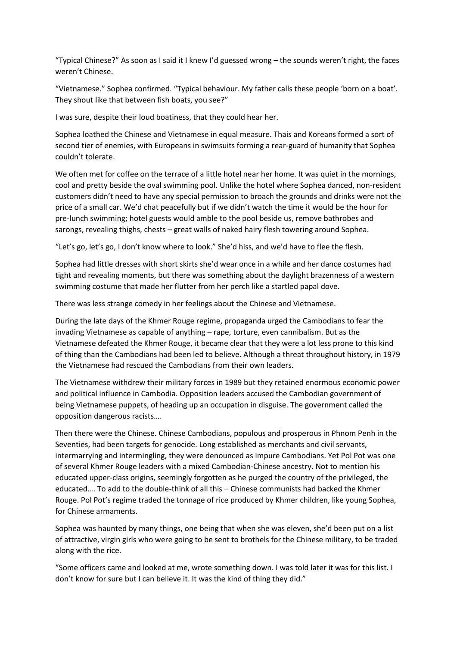"Typical Chinese?" As soon as I said it I knew I'd guessed wrong – the sounds weren't right, the faces weren't Chinese.

"Vietnamese." Sophea confirmed. "Typical behaviour. My father calls these people 'born on a boat'. They shout like that between fish boats, you see?"

I was sure, despite their loud boatiness, that they could hear her.

Sophea loathed the Chinese and Vietnamese in equal measure. Thais and Koreans formed a sort of second tier of enemies, with Europeans in swimsuits forming a rear-guard of humanity that Sophea couldn't tolerate.

We often met for coffee on the terrace of a little hotel near her home. It was quiet in the mornings, cool and pretty beside the oval swimming pool. Unlike the hotel where Sophea danced, non-resident customers didn't need to have any special permission to broach the grounds and drinks were not the price of a small car. We'd chat peacefully but if we didn't watch the time it would be the hour for pre-lunch swimming; hotel guests would amble to the pool beside us, remove bathrobes and sarongs, revealing thighs, chests – great walls of naked hairy flesh towering around Sophea.

"Let's go, let's go, I don't know where to look." She'd hiss, and we'd have to flee the flesh.

Sophea had little dresses with short skirts she'd wear once in a while and her dance costumes had tight and revealing moments, but there was something about the daylight brazenness of a western swimming costume that made her flutter from her perch like a startled papal dove.

There was less strange comedy in her feelings about the Chinese and Vietnamese.

During the late days of the Khmer Rouge regime, propaganda urged the Cambodians to fear the invading Vietnamese as capable of anything – rape, torture, even cannibalism. But as the Vietnamese defeated the Khmer Rouge, it became clear that they were a lot less prone to this kind of thing than the Cambodians had been led to believe. Although a threat throughout history, in 1979 the Vietnamese had rescued the Cambodians from their own leaders.

The Vietnamese withdrew their military forces in 1989 but they retained enormous economic power and political influence in Cambodia. Opposition leaders accused the Cambodian government of being Vietnamese puppets, of heading up an occupation in disguise. The government called the opposition dangerous racists….

Then there were the Chinese. Chinese Cambodians, populous and prosperous in Phnom Penh in the Seventies, had been targets for genocide. Long established as merchants and civil servants, intermarrying and intermingling, they were denounced as impure Cambodians. Yet Pol Pot was one of several Khmer Rouge leaders with a mixed Cambodian-Chinese ancestry. Not to mention his educated upper-class origins, seemingly forgotten as he purged the country of the privileged, the educated…. To add to the double-think of all this – Chinese communists had backed the Khmer Rouge. Pol Pot's regime traded the tonnage of rice produced by Khmer children, like young Sophea, for Chinese armaments.

Sophea was haunted by many things, one being that when she was eleven, she'd been put on a list of attractive, virgin girls who were going to be sent to brothels for the Chinese military, to be traded along with the rice.

"Some officers came and looked at me, wrote something down. I was told later it was for this list. I don't know for sure but I can believe it. It was the kind of thing they did."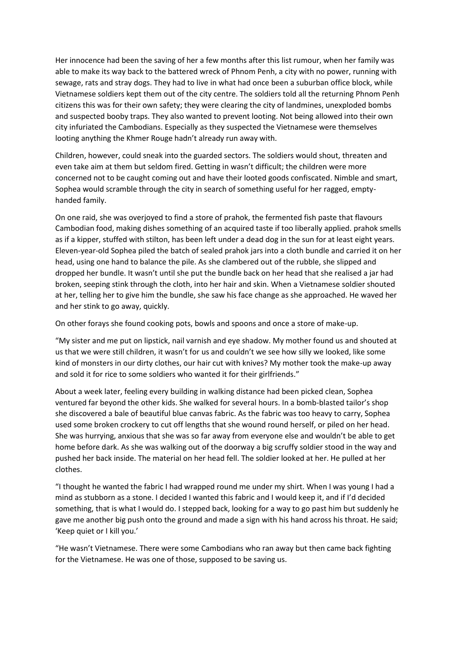Her innocence had been the saving of her a few months after this list rumour, when her family was able to make its way back to the battered wreck of Phnom Penh, a city with no power, running with sewage, rats and stray dogs. They had to live in what had once been a suburban office block, while Vietnamese soldiers kept them out of the city centre. The soldiers told all the returning Phnom Penh citizens this was for their own safety; they were clearing the city of landmines, unexploded bombs and suspected booby traps. They also wanted to prevent looting. Not being allowed into their own city infuriated the Cambodians. Especially as they suspected the Vietnamese were themselves looting anything the Khmer Rouge hadn't already run away with.

Children, however, could sneak into the guarded sectors. The soldiers would shout, threaten and even take aim at them but seldom fired. Getting in wasn't difficult; the children were more concerned not to be caught coming out and have their looted goods confiscated. Nimble and smart, Sophea would scramble through the city in search of something useful for her ragged, emptyhanded family.

On one raid, she was overjoyed to find a store of prahok, the fermented fish paste that flavours Cambodian food, making dishes something of an acquired taste if too liberally applied. prahok smells as if a kipper, stuffed with stilton, has been left under a dead dog in the sun for at least eight years. Eleven-year-old Sophea piled the batch of sealed prahok jars into a cloth bundle and carried it on her head, using one hand to balance the pile. As she clambered out of the rubble, she slipped and dropped her bundle. It wasn't until she put the bundle back on her head that she realised a jar had broken, seeping stink through the cloth, into her hair and skin. When a Vietnamese soldier shouted at her, telling her to give him the bundle, she saw his face change as she approached. He waved her and her stink to go away, quickly.

On other forays she found cooking pots, bowls and spoons and once a store of make-up.

"My sister and me put on lipstick, nail varnish and eye shadow. My mother found us and shouted at us that we were still children, it wasn't for us and couldn't we see how silly we looked, like some kind of monsters in our dirty clothes, our hair cut with knives? My mother took the make-up away and sold it for rice to some soldiers who wanted it for their girlfriends."

About a week later, feeling every building in walking distance had been picked clean, Sophea ventured far beyond the other kids. She walked for several hours. In a bomb-blasted tailor's shop she discovered a bale of beautiful blue canvas fabric. As the fabric was too heavy to carry, Sophea used some broken crockery to cut off lengths that she wound round herself, or piled on her head. She was hurrying, anxious that she was so far away from everyone else and wouldn't be able to get home before dark. As she was walking out of the doorway a big scruffy soldier stood in the way and pushed her back inside. The material on her head fell. The soldier looked at her. He pulled at her clothes.

"I thought he wanted the fabric I had wrapped round me under my shirt. When I was young I had a mind as stubborn as a stone. I decided I wanted this fabric and I would keep it, and if I'd decided something, that is what I would do. I stepped back, looking for a way to go past him but suddenly he gave me another big push onto the ground and made a sign with his hand across his throat. He said; 'Keep quiet or I kill you.'

"He wasn't Vietnamese. There were some Cambodians who ran away but then came back fighting for the Vietnamese. He was one of those, supposed to be saving us.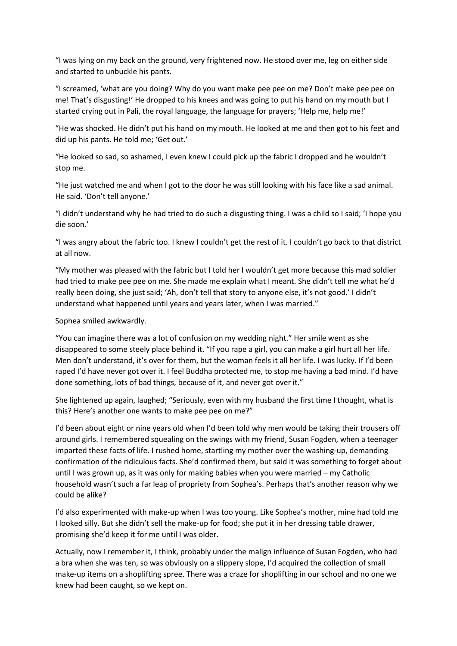"I was lying on my back on the ground, very frightened now. He stood over me, leg on either side and started to unbuckle his pants.

"I screamed, 'what are you doing? Why do you want make pee pee on me? Don't make pee pee on me! That's disgusting!' He dropped to his knees and was going to put his hand on my mouth but I started crying out in Pali, the royal language, the language for prayers; 'Help me, help me!'

"He was shocked. He didn't put his hand on my mouth. He looked at me and then got to his feet and did up his pants. He told me; 'Get out.'

"He looked so sad, so ashamed, I even knew I could pick up the fabric I dropped and he wouldn't stop me.

"He just watched me and when I got to the door he was still looking with his face like a sad animal. He said. 'Don't tell anyone.'

"I didn't understand why he had tried to do such a disgusting thing. I was a child so I said; 'I hope you die soon.'

"I was angry about the fabric too. I knew I couldn't get the rest of it. I couldn't go back to that district at all now.

"My mother was pleased with the fabric but I told her I wouldn't get more because this mad soldier had tried to make pee pee on me. She made me explain what I meant. She didn't tell me what he'd really been doing, she just said; 'Ah, don't tell that story to anyone else, it's not good.' I didn't understand what happened until years and years later, when I was married."

Sophea smiled awkwardly.

"You can imagine there was a lot of confusion on my wedding night." Her smile went as she disappeared to some steely place behind it. "If you rape a girl, you can make a girl hurt all her life. Men don't understand, it's over for them, but the woman feels it all her life. I was lucky. If I'd been raped I'd have never got over it. I feel Buddha protected me, to stop me having a bad mind. I'd have done something, lots of bad things, because of it, and never got over it."

She lightened up again, laughed; "Seriously, even with my husband the first time I thought, what is this? Here's another one wants to make pee pee on me?"

I'd been about eight or nine years old when I'd been told why men would be taking their trousers off around girls. I remembered squealing on the swings with my friend, Susan Fogden, when a teenager imparted these facts of life. I rushed home, startling my mother over the washing-up, demanding confirmation of the ridiculous facts. She'd confirmed them, but said it was something to forget about until I was grown up, as it was only for making babies when you were married – my Catholic household wasn't such a far leap of propriety from Sophea's. Perhaps that's another reason why we could be alike?

I'd also experimented with make-up when I was too young. Like Sophea's mother, mine had told me I looked silly. But she didn't sell the make-up for food; she put it in her dressing table drawer, promising she'd keep it for me until I was older.

Actually, now I remember it, I think, probably under the malign influence of Susan Fogden, who had a bra when she was ten, so was obviously on a slippery slope, I'd acquired the collection of small make-up items on a shoplifting spree. There was a craze for shoplifting in our school and no one we knew had been caught, so we kept on.